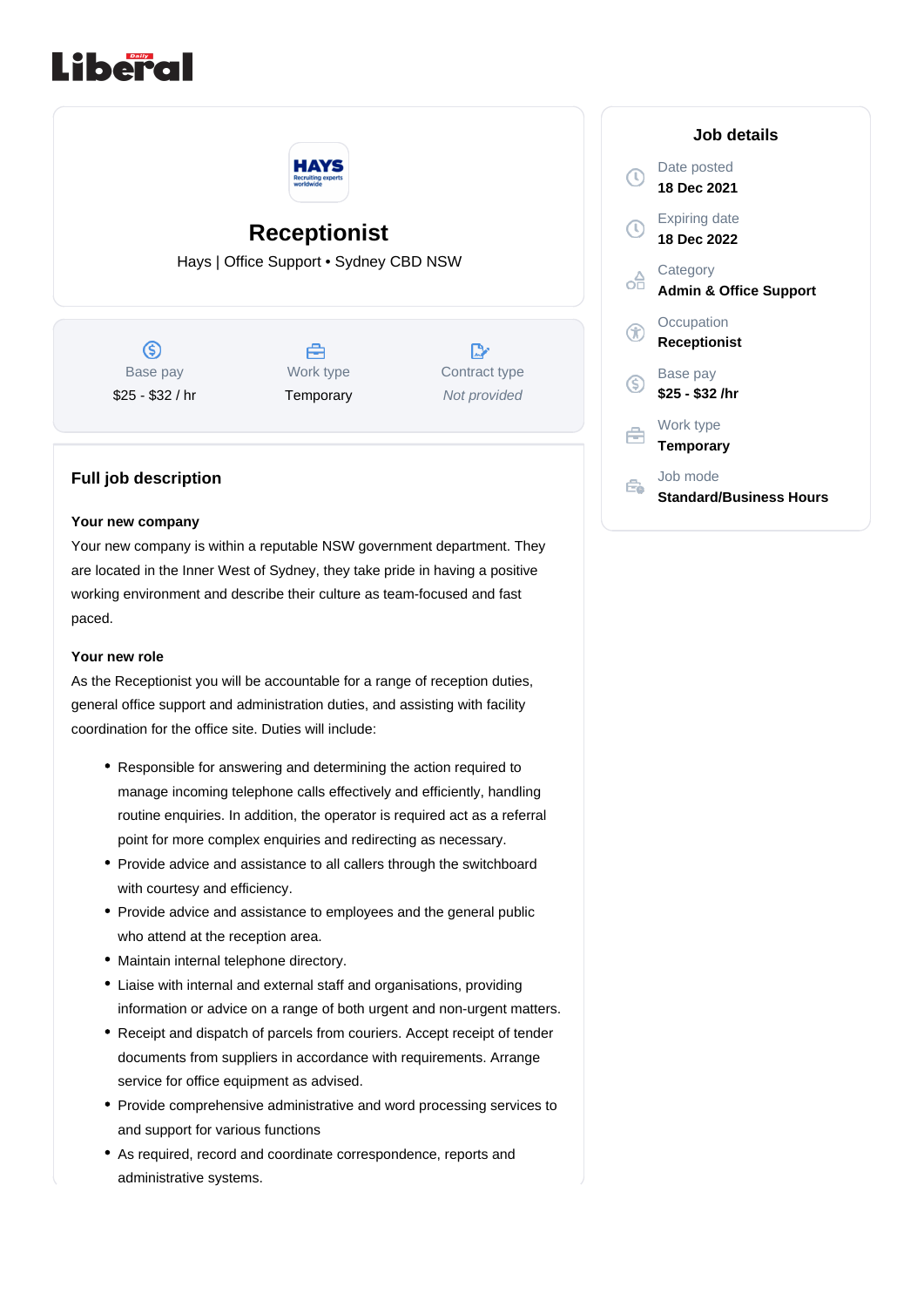



# **Receptionist**

Hays | Office Support • Sydney CBD NSW

 $\circledS$ Base pay \$25 - \$32 / hr



 $\mathbb{R}$ Contract type Not provided

# **Full job description**

#### **Your new company**

Your new company is within a reputable NSW government department. They are located in the Inner West of Sydney, they take pride in having a positive working environment and describe their culture as team-focused and fast paced.

#### **Your new role**

As the Receptionist you will be accountable for a range of reception duties, general office support and administration duties, and assisting with facility coordination for the office site. Duties will include:

- Responsible for answering and determining the action required to manage incoming telephone calls effectively and efficiently, handling routine enquiries. In addition, the operator is required act as a referral point for more complex enquiries and redirecting as necessary.
- Provide advice and assistance to all callers through the switchboard with courtesy and efficiency.
- Provide advice and assistance to employees and the general public who attend at the reception area.
- Maintain internal telephone directory.
- Liaise with internal and external staff and organisations, providing information or advice on a range of both urgent and non-urgent matters.
- Receipt and dispatch of parcels from couriers. Accept receipt of tender documents from suppliers in accordance with requirements. Arrange service for office equipment as advised.
- Provide comprehensive administrative and word processing services to and support for various functions
- As required, record and coordinate correspondence, reports and administrative systems.